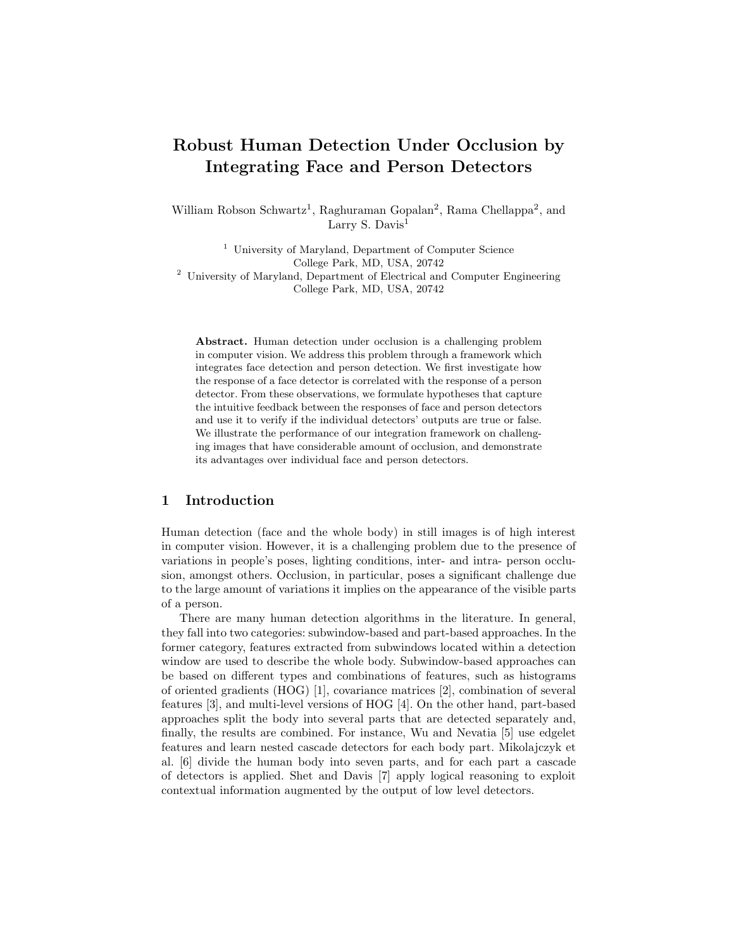# Robust Human Detection Under Occlusion by Integrating Face and Person Detectors

William Robson Schwartz<sup>1</sup>, Raghuraman Gopalan<sup>2</sup>, Rama Chellappa<sup>2</sup>, and Larry S. Davis<sup>1</sup>

<sup>1</sup> University of Maryland, Department of Computer Science College Park, MD, USA, 20742 <sup>2</sup> University of Maryland, Department of Electrical and Computer Engineering College Park, MD, USA, 20742

Abstract. Human detection under occlusion is a challenging problem in computer vision. We address this problem through a framework which integrates face detection and person detection. We first investigate how the response of a face detector is correlated with the response of a person detector. From these observations, we formulate hypotheses that capture the intuitive feedback between the responses of face and person detectors and use it to verify if the individual detectors' outputs are true or false. We illustrate the performance of our integration framework on challenging images that have considerable amount of occlusion, and demonstrate its advantages over individual face and person detectors.

## 1 Introduction

Human detection (face and the whole body) in still images is of high interest in computer vision. However, it is a challenging problem due to the presence of variations in people's poses, lighting conditions, inter- and intra- person occlusion, amongst others. Occlusion, in particular, poses a significant challenge due to the large amount of variations it implies on the appearance of the visible parts of a person.

There are many human detection algorithms in the literature. In general, they fall into two categories: subwindow-based and part-based approaches. In the former category, features extracted from subwindows located within a detection window are used to describe the whole body. Subwindow-based approaches can be based on different types and combinations of features, such as histograms of oriented gradients (HOG) [1], covariance matrices [2], combination of several features [3], and multi-level versions of HOG [4]. On the other hand, part-based approaches split the body into several parts that are detected separately and, finally, the results are combined. For instance, Wu and Nevatia [5] use edgelet features and learn nested cascade detectors for each body part. Mikolajczyk et al. [6] divide the human body into seven parts, and for each part a cascade of detectors is applied. Shet and Davis [7] apply logical reasoning to exploit contextual information augmented by the output of low level detectors.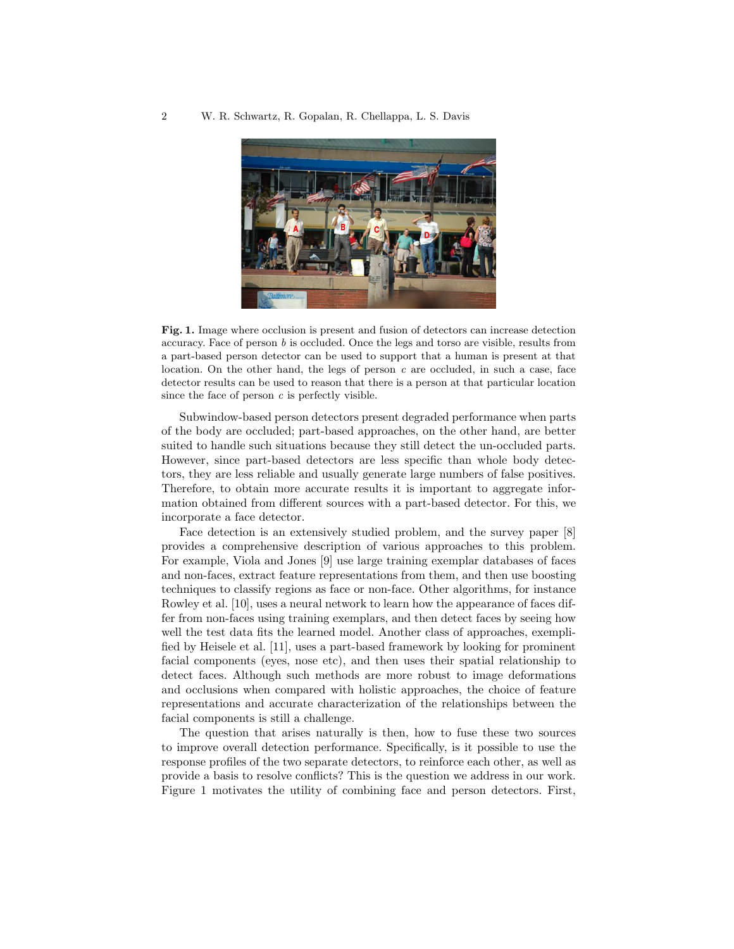2 W. R. Schwartz, R. Gopalan, R. Chellappa, L. S. Davis



Fig. 1. Image where occlusion is present and fusion of detectors can increase detection accuracy. Face of person b is occluded. Once the legs and torso are visible, results from a part-based person detector can be used to support that a human is present at that location. On the other hand, the legs of person  $c$  are occluded, in such a case, face detector results can be used to reason that there is a person at that particular location since the face of person  $c$  is perfectly visible.

Subwindow-based person detectors present degraded performance when parts of the body are occluded; part-based approaches, on the other hand, are better suited to handle such situations because they still detect the un-occluded parts. However, since part-based detectors are less specific than whole body detectors, they are less reliable and usually generate large numbers of false positives. Therefore, to obtain more accurate results it is important to aggregate information obtained from different sources with a part-based detector. For this, we incorporate a face detector.

Face detection is an extensively studied problem, and the survey paper [8] provides a comprehensive description of various approaches to this problem. For example, Viola and Jones [9] use large training exemplar databases of faces and non-faces, extract feature representations from them, and then use boosting techniques to classify regions as face or non-face. Other algorithms, for instance Rowley et al. [10], uses a neural network to learn how the appearance of faces differ from non-faces using training exemplars, and then detect faces by seeing how well the test data fits the learned model. Another class of approaches, exemplified by Heisele et al. [11], uses a part-based framework by looking for prominent facial components (eyes, nose etc), and then uses their spatial relationship to detect faces. Although such methods are more robust to image deformations and occlusions when compared with holistic approaches, the choice of feature representations and accurate characterization of the relationships between the facial components is still a challenge.

The question that arises naturally is then, how to fuse these two sources to improve overall detection performance. Specifically, is it possible to use the response profiles of the two separate detectors, to reinforce each other, as well as provide a basis to resolve conflicts? This is the question we address in our work. Figure 1 motivates the utility of combining face and person detectors. First,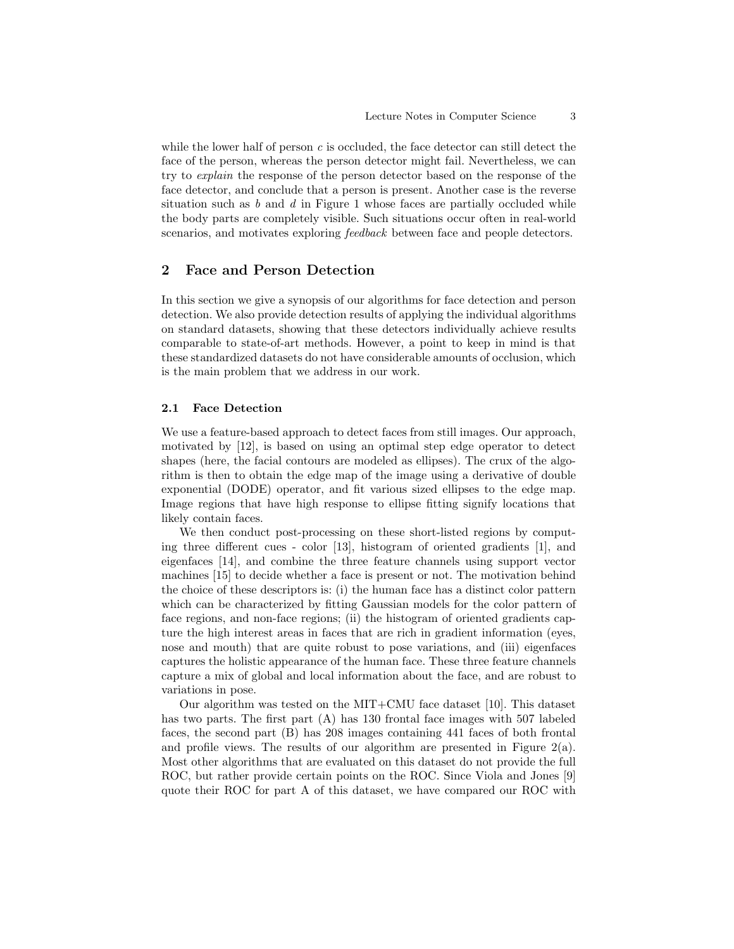while the lower half of person  $c$  is occluded, the face detector can still detect the face of the person, whereas the person detector might fail. Nevertheless, we can try to explain the response of the person detector based on the response of the face detector, and conclude that a person is present. Another case is the reverse situation such as  $b$  and  $d$  in Figure 1 whose faces are partially occluded while the body parts are completely visible. Such situations occur often in real-world scenarios, and motivates exploring *feedback* between face and people detectors.

# 2 Face and Person Detection

In this section we give a synopsis of our algorithms for face detection and person detection. We also provide detection results of applying the individual algorithms on standard datasets, showing that these detectors individually achieve results comparable to state-of-art methods. However, a point to keep in mind is that these standardized datasets do not have considerable amounts of occlusion, which is the main problem that we address in our work.

#### 2.1 Face Detection

We use a feature-based approach to detect faces from still images. Our approach, motivated by [12], is based on using an optimal step edge operator to detect shapes (here, the facial contours are modeled as ellipses). The crux of the algorithm is then to obtain the edge map of the image using a derivative of double exponential (DODE) operator, and fit various sized ellipses to the edge map. Image regions that have high response to ellipse fitting signify locations that likely contain faces.

We then conduct post-processing on these short-listed regions by computing three different cues - color [13], histogram of oriented gradients [1], and eigenfaces [14], and combine the three feature channels using support vector machines [15] to decide whether a face is present or not. The motivation behind the choice of these descriptors is: (i) the human face has a distinct color pattern which can be characterized by fitting Gaussian models for the color pattern of face regions, and non-face regions; (ii) the histogram of oriented gradients capture the high interest areas in faces that are rich in gradient information (eyes, nose and mouth) that are quite robust to pose variations, and (iii) eigenfaces captures the holistic appearance of the human face. These three feature channels capture a mix of global and local information about the face, and are robust to variations in pose.

Our algorithm was tested on the MIT+CMU face dataset [10]. This dataset has two parts. The first part (A) has 130 frontal face images with 507 labeled faces, the second part (B) has 208 images containing 441 faces of both frontal and profile views. The results of our algorithm are presented in Figure  $2(a)$ . Most other algorithms that are evaluated on this dataset do not provide the full ROC, but rather provide certain points on the ROC. Since Viola and Jones [9] quote their ROC for part A of this dataset, we have compared our ROC with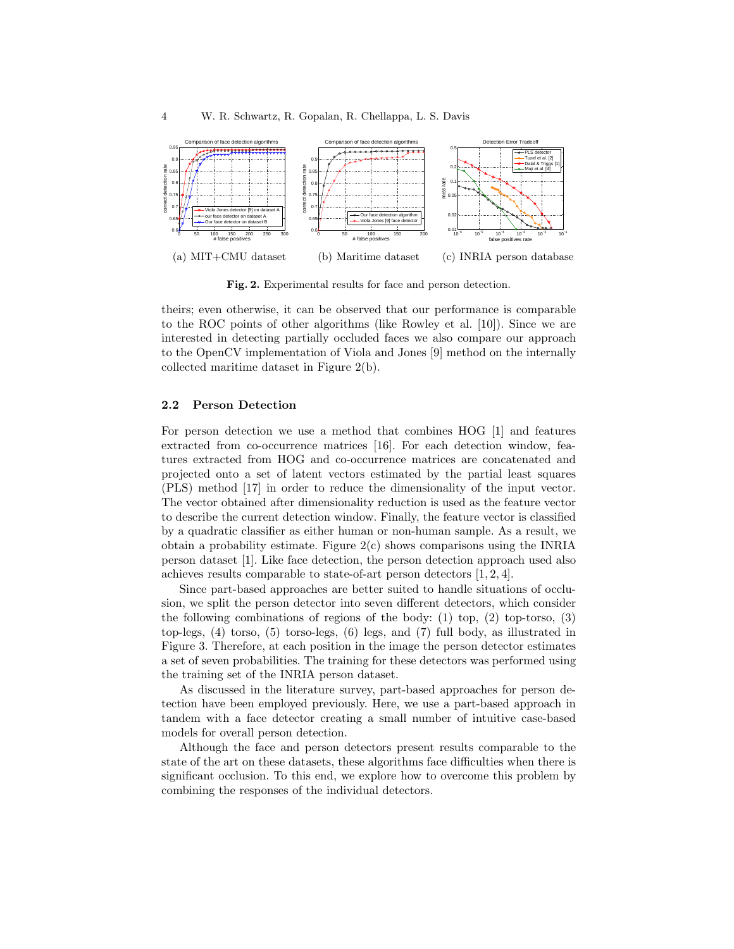

Fig. 2. Experimental results for face and person detection.

theirs; even otherwise, it can be observed that our performance is comparable to the ROC points of other algorithms (like Rowley et al. [10]). Since we are interested in detecting partially occluded faces we also compare our approach to the OpenCV implementation of Viola and Jones [9] method on the internally collected maritime dataset in Figure 2(b).

#### 2.2 Person Detection

For person detection we use a method that combines HOG [1] and features extracted from co-occurrence matrices [16]. For each detection window, features extracted from HOG and co-occurrence matrices are concatenated and projected onto a set of latent vectors estimated by the partial least squares (PLS) method [17] in order to reduce the dimensionality of the input vector. The vector obtained after dimensionality reduction is used as the feature vector to describe the current detection window. Finally, the feature vector is classified by a quadratic classifier as either human or non-human sample. As a result, we obtain a probability estimate. Figure 2(c) shows comparisons using the INRIA person dataset [1]. Like face detection, the person detection approach used also achieves results comparable to state-of-art person detectors [1, 2, 4].

Since part-based approaches are better suited to handle situations of occlusion, we split the person detector into seven different detectors, which consider the following combinations of regions of the body: (1) top, (2) top-torso, (3) top-legs, (4) torso, (5) torso-legs, (6) legs, and (7) full body, as illustrated in Figure 3. Therefore, at each position in the image the person detector estimates a set of seven probabilities. The training for these detectors was performed using the training set of the INRIA person dataset.

As discussed in the literature survey, part-based approaches for person detection have been employed previously. Here, we use a part-based approach in tandem with a face detector creating a small number of intuitive case-based models for overall person detection.

Although the face and person detectors present results comparable to the state of the art on these datasets, these algorithms face difficulties when there is significant occlusion. To this end, we explore how to overcome this problem by combining the responses of the individual detectors.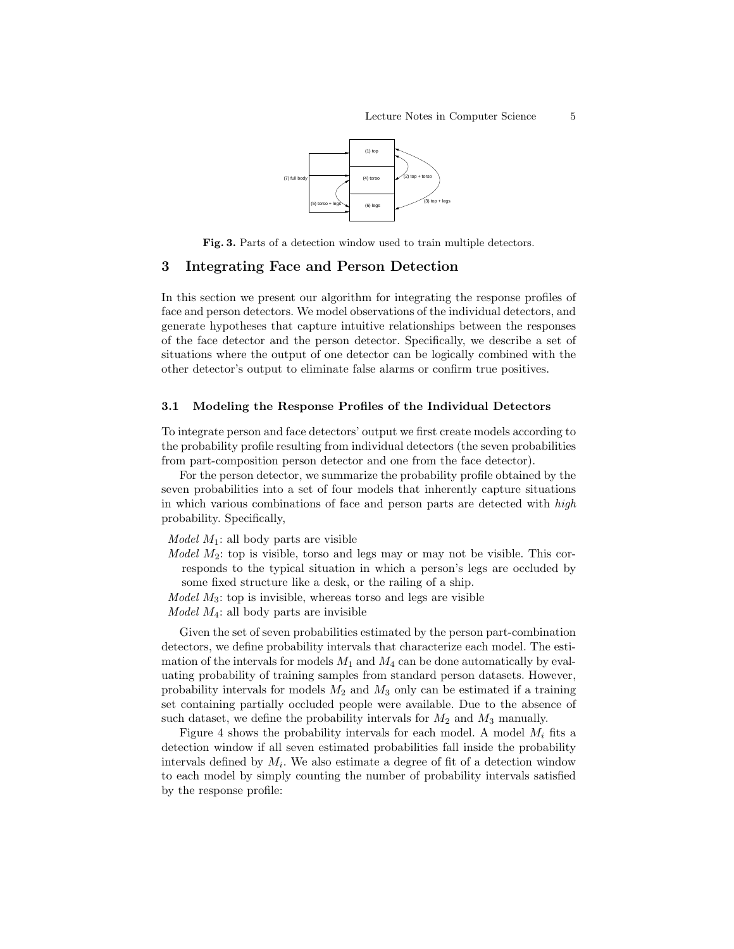

Fig. 3. Parts of a detection window used to train multiple detectors.

## 3 Integrating Face and Person Detection

In this section we present our algorithm for integrating the response profiles of face and person detectors. We model observations of the individual detectors, and generate hypotheses that capture intuitive relationships between the responses of the face detector and the person detector. Specifically, we describe a set of situations where the output of one detector can be logically combined with the other detector's output to eliminate false alarms or confirm true positives.

#### 3.1 Modeling the Response Profiles of the Individual Detectors

To integrate person and face detectors' output we first create models according to the probability profile resulting from individual detectors (the seven probabilities from part-composition person detector and one from the face detector).

For the person detector, we summarize the probability profile obtained by the seven probabilities into a set of four models that inherently capture situations in which various combinations of face and person parts are detected with high probability. Specifically,

*Model M*<sub>1</sub>: all body parts are visible

- *Model*  $M_2$ : top is visible, torso and legs may or may not be visible. This corresponds to the typical situation in which a person's legs are occluded by some fixed structure like a desk, or the railing of a ship.
- $Model M<sub>3</sub>:$  top is invisible, whereas torso and legs are visible

 $Model M_4$ : all body parts are invisible

Given the set of seven probabilities estimated by the person part-combination detectors, we define probability intervals that characterize each model. The estimation of the intervals for models  $M_1$  and  $M_4$  can be done automatically by evaluating probability of training samples from standard person datasets. However, probability intervals for models  $M_2$  and  $M_3$  only can be estimated if a training set containing partially occluded people were available. Due to the absence of such dataset, we define the probability intervals for  $M_2$  and  $M_3$  manually.

Figure 4 shows the probability intervals for each model. A model  $M_i$  fits a detection window if all seven estimated probabilities fall inside the probability intervals defined by  $M_i$ . We also estimate a degree of fit of a detection window to each model by simply counting the number of probability intervals satisfied by the response profile: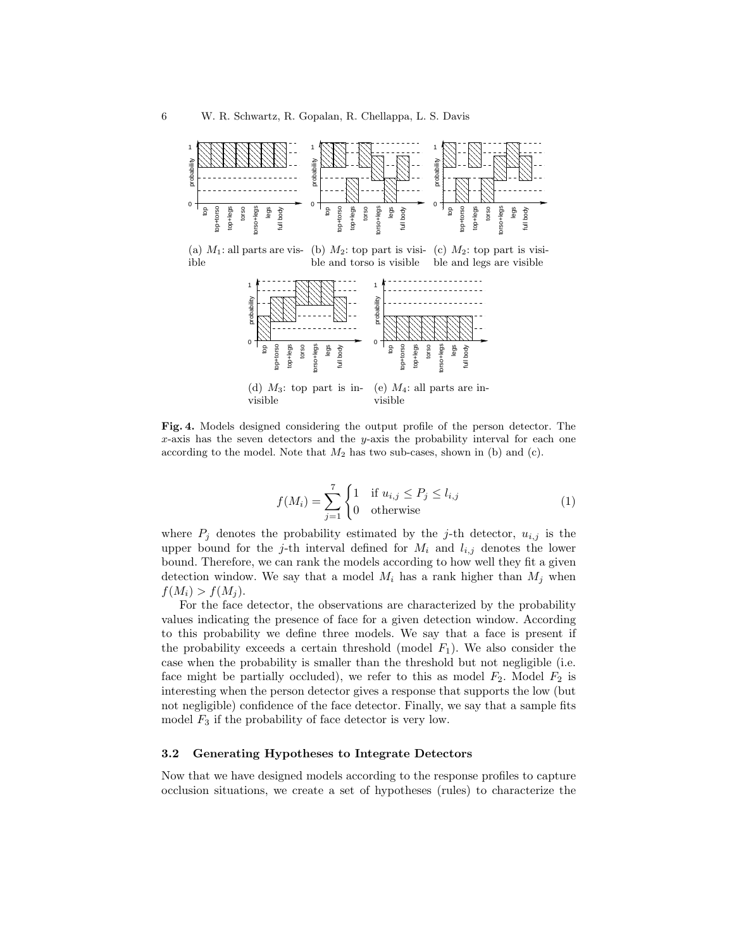

(a)  $M_1$ : all parts are visible (b)  $M_2$ : top part is visi- (c)  $M_2$ : top part is visible and torso is visible ble and legs are visible



(d)  $M_3$ : top part is invisible (e)  $M_4$ : all parts are invisible

Fig. 4. Models designed considering the output profile of the person detector. The  $x$ -axis has the seven detectors and the  $y$ -axis the probability interval for each one according to the model. Note that  $M_2$  has two sub-cases, shown in (b) and (c).

$$
f(M_i) = \sum_{j=1}^{7} \begin{cases} 1 & \text{if } u_{i,j} \le P_j \le l_{i,j} \\ 0 & \text{otherwise} \end{cases}
$$
 (1)

where  $P_j$  denotes the probability estimated by the j-th detector,  $u_{i,j}$  is the upper bound for the j-th interval defined for  $M_i$  and  $l_{i,j}$  denotes the lower bound. Therefore, we can rank the models according to how well they fit a given detection window. We say that a model  $M_i$  has a rank higher than  $M_j$  when  $f(M_i) > f(M_i)$ .

For the face detector, the observations are characterized by the probability values indicating the presence of face for a given detection window. According to this probability we define three models. We say that a face is present if the probability exceeds a certain threshold (model  $F_1$ ). We also consider the case when the probability is smaller than the threshold but not negligible (i.e. face might be partially occluded), we refer to this as model  $F_2$ . Model  $F_2$  is interesting when the person detector gives a response that supports the low (but not negligible) confidence of the face detector. Finally, we say that a sample fits model  $F_3$  if the probability of face detector is very low.

#### 3.2 Generating Hypotheses to Integrate Detectors

Now that we have designed models according to the response profiles to capture occlusion situations, we create a set of hypotheses (rules) to characterize the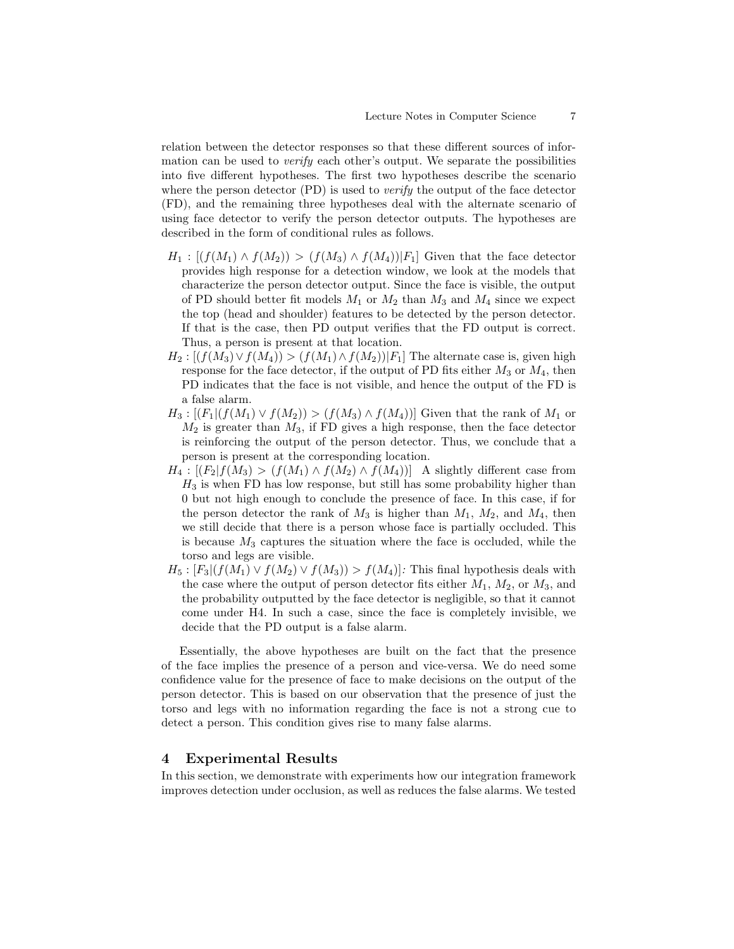relation between the detector responses so that these different sources of information can be used to *verify* each other's output. We separate the possibilities into five different hypotheses. The first two hypotheses describe the scenario where the person detector  $(PD)$  is used to *verify* the output of the face detector (FD), and the remaining three hypotheses deal with the alternate scenario of using face detector to verify the person detector outputs. The hypotheses are described in the form of conditional rules as follows.

- $H_1 : [(f(M_1) \wedge f(M_2)) > (f(M_3) \wedge f(M_4)) | F_1]$  Given that the face detector provides high response for a detection window, we look at the models that characterize the person detector output. Since the face is visible, the output of PD should better fit models  $M_1$  or  $M_2$  than  $M_3$  and  $M_4$  since we expect the top (head and shoulder) features to be detected by the person detector. If that is the case, then PD output verifies that the FD output is correct. Thus, a person is present at that location.
- $H_2 : [(f(M_3) \vee f(M_4)) > (f(M_1) \wedge f(M_2))|F_1]$  The alternate case is, given high response for the face detector, if the output of PD fits either  $M_3$  or  $M_4$ , then PD indicates that the face is not visible, and hence the output of the FD is a false alarm.
- $H_3 : [(F_1|(f(M_1) \vee f(M_2))) > (f(M_3) \wedge f(M_4))]$  Given that the rank of  $M_1$  or  $M_2$  is greater than  $M_3$ , if FD gives a high response, then the face detector is reinforcing the output of the person detector. Thus, we conclude that a person is present at the corresponding location.
- $H_4: [(F_2|f(M_3) > (f(M_1) \wedge f(M_2) \wedge f(M_4))]$  A slightly different case from  $H_3$  is when FD has low response, but still has some probability higher than 0 but not high enough to conclude the presence of face. In this case, if for the person detector the rank of  $M_3$  is higher than  $M_1$ ,  $M_2$ , and  $M_4$ , then we still decide that there is a person whose face is partially occluded. This is because  $M_3$  captures the situation where the face is occluded, while the torso and legs are visible.
- $H_5: [F_3|(f(M_1) \vee f(M_2) \vee f(M_3)) > f(M_4):$  This final hypothesis deals with the case where the output of person detector fits either  $M_1, M_2$ , or  $M_3$ , and the probability outputted by the face detector is negligible, so that it cannot come under H4. In such a case, since the face is completely invisible, we decide that the PD output is a false alarm.

Essentially, the above hypotheses are built on the fact that the presence of the face implies the presence of a person and vice-versa. We do need some confidence value for the presence of face to make decisions on the output of the person detector. This is based on our observation that the presence of just the torso and legs with no information regarding the face is not a strong cue to detect a person. This condition gives rise to many false alarms.

## 4 Experimental Results

In this section, we demonstrate with experiments how our integration framework improves detection under occlusion, as well as reduces the false alarms. We tested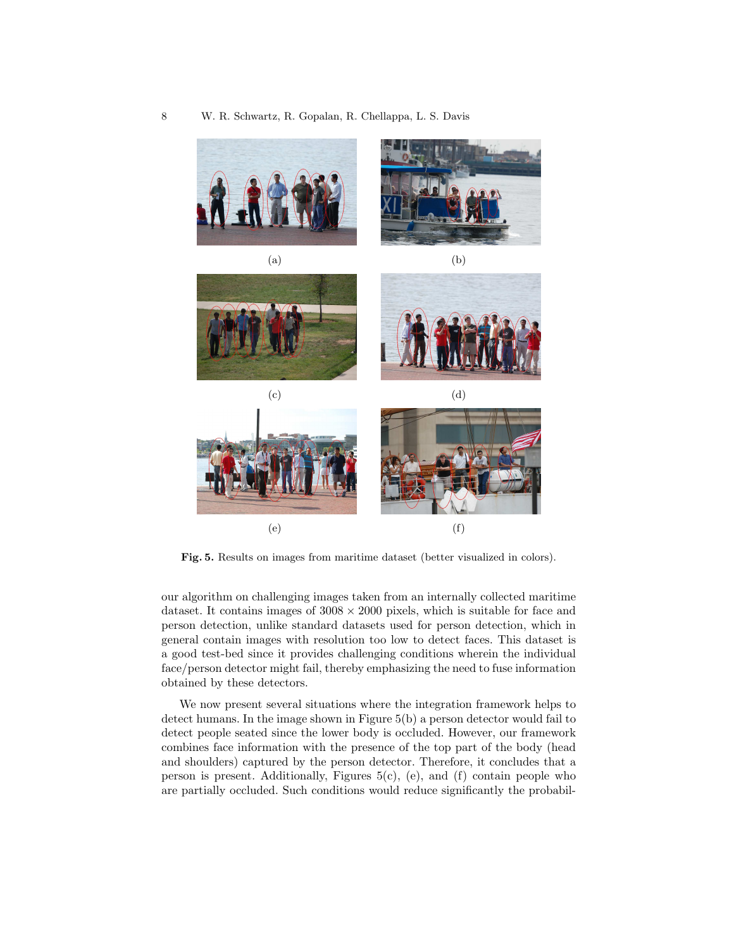

Fig. 5. Results on images from maritime dataset (better visualized in colors).

our algorithm on challenging images taken from an internally collected maritime dataset. It contains images of  $3008 \times 2000$  pixels, which is suitable for face and person detection, unlike standard datasets used for person detection, which in general contain images with resolution too low to detect faces. This dataset is a good test-bed since it provides challenging conditions wherein the individual face/person detector might fail, thereby emphasizing the need to fuse information obtained by these detectors.

We now present several situations where the integration framework helps to detect humans. In the image shown in Figure 5(b) a person detector would fail to detect people seated since the lower body is occluded. However, our framework combines face information with the presence of the top part of the body (head and shoulders) captured by the person detector. Therefore, it concludes that a person is present. Additionally, Figures  $5(c)$ , (e), and (f) contain people who are partially occluded. Such conditions would reduce significantly the probabil-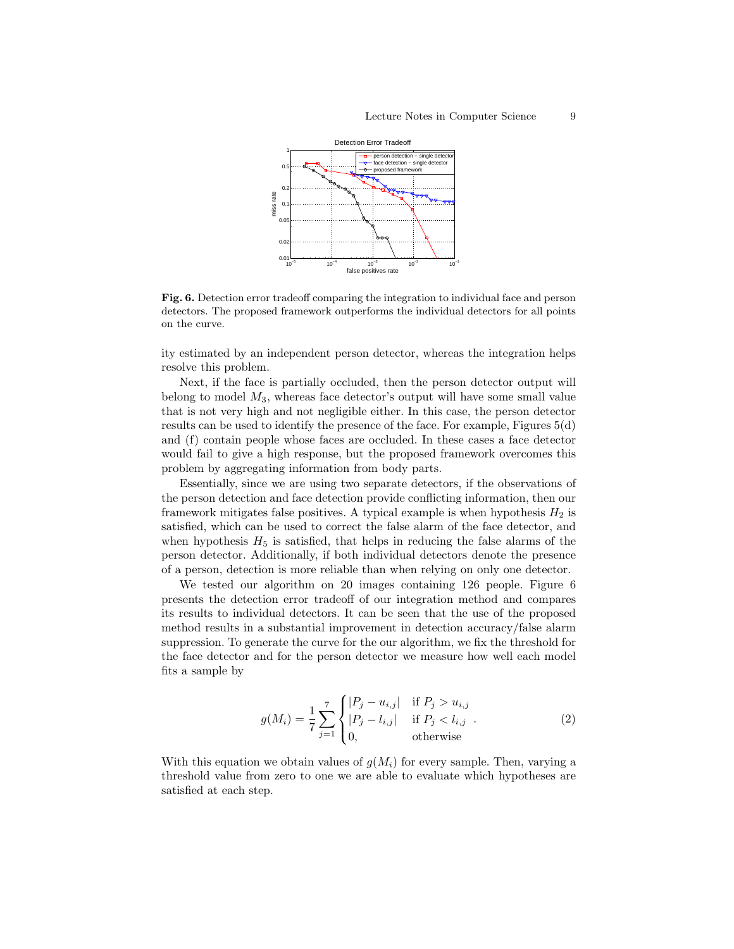

Fig. 6. Detection error tradeoff comparing the integration to individual face and person detectors. The proposed framework outperforms the individual detectors for all points on the curve.

ity estimated by an independent person detector, whereas the integration helps resolve this problem.

Next, if the face is partially occluded, then the person detector output will belong to model  $M_3$ , whereas face detector's output will have some small value that is not very high and not negligible either. In this case, the person detector results can be used to identify the presence of the face. For example, Figures 5(d) and (f) contain people whose faces are occluded. In these cases a face detector would fail to give a high response, but the proposed framework overcomes this problem by aggregating information from body parts.

Essentially, since we are using two separate detectors, if the observations of the person detection and face detection provide conflicting information, then our framework mitigates false positives. A typical example is when hypothesis  $H_2$  is satisfied, which can be used to correct the false alarm of the face detector, and when hypothesis  $H_5$  is satisfied, that helps in reducing the false alarms of the person detector. Additionally, if both individual detectors denote the presence of a person, detection is more reliable than when relying on only one detector.

We tested our algorithm on 20 images containing 126 people. Figure 6 presents the detection error tradeoff of our integration method and compares its results to individual detectors. It can be seen that the use of the proposed method results in a substantial improvement in detection accuracy/false alarm suppression. To generate the curve for the our algorithm, we fix the threshold for the face detector and for the person detector we measure how well each model fits a sample by

$$
g(M_i) = \frac{1}{7} \sum_{j=1}^{7} \begin{cases} |P_j - u_{i,j}| & \text{if } P_j > u_{i,j} \\ |P_j - l_{i,j}| & \text{if } P_j < l_{i,j} \\ 0, & \text{otherwise} \end{cases}
$$
 (2)

With this equation we obtain values of  $q(M<sub>i</sub>)$  for every sample. Then, varying a threshold value from zero to one we are able to evaluate which hypotheses are satisfied at each step.